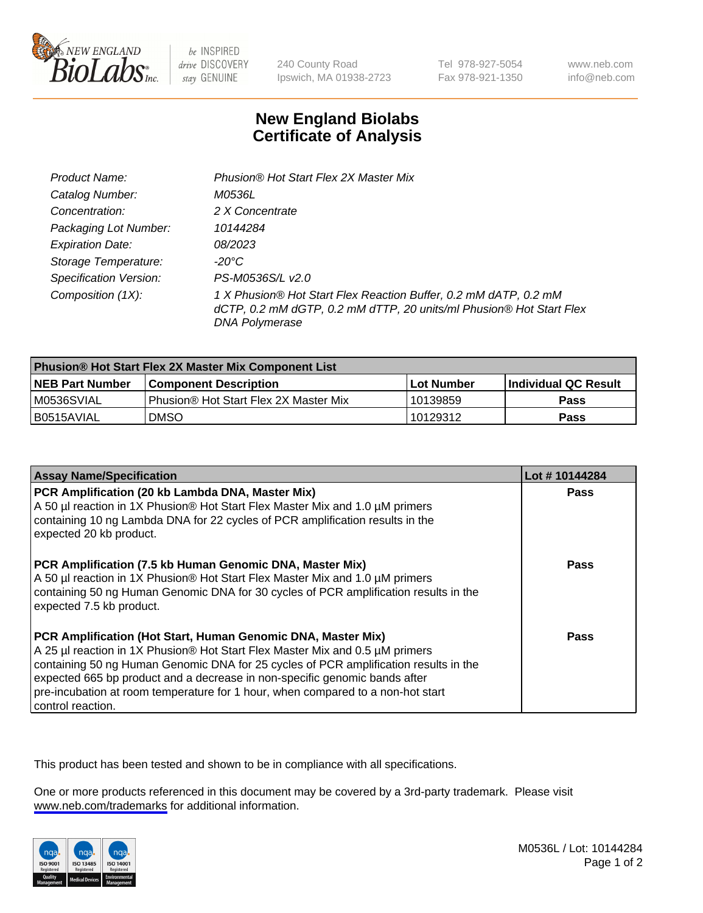

be INSPIRED drive DISCOVERY stay GENUINE

240 County Road Ipswich, MA 01938-2723 Tel 978-927-5054 Fax 978-921-1350

www.neb.com info@neb.com

## **New England Biolabs Certificate of Analysis**

| Product Name:                 | Phusion® Hot Start Flex 2X Master Mix                                                                                                                     |
|-------------------------------|-----------------------------------------------------------------------------------------------------------------------------------------------------------|
| Catalog Number:               | M0536L                                                                                                                                                    |
| Concentration:                | 2 X Concentrate                                                                                                                                           |
| Packaging Lot Number:         | 10144284                                                                                                                                                  |
| <b>Expiration Date:</b>       | <i>08/2023</i>                                                                                                                                            |
| Storage Temperature:          | -20°C                                                                                                                                                     |
| <b>Specification Version:</b> | PS-M0536S/L v2.0                                                                                                                                          |
| Composition (1X):             | 1 X Phusion® Hot Start Flex Reaction Buffer, 0.2 mM dATP, 0.2 mM<br>dCTP, 0.2 mM dGTP, 0.2 mM dTTP, 20 units/ml Phusion® Hot Start Flex<br>DNA Polymerase |

| <b>Phusion® Hot Start Flex 2X Master Mix Component List</b> |                                              |            |                      |  |
|-------------------------------------------------------------|----------------------------------------------|------------|----------------------|--|
| <b>NEB Part Number</b>                                      | <b>Component Description</b>                 | Lot Number | Individual QC Result |  |
| M0536SVIAL                                                  | <b>Phusion® Hot Start Flex 2X Master Mix</b> | l 10139859 | <b>Pass</b>          |  |
| I B0515AVIAL                                                | <b>DMSO</b>                                  | 10129312   | <b>Pass</b>          |  |

| <b>Assay Name/Specification</b>                                                                                                                                                                                                                                                                                                                                                                                            | Lot #10144284 |
|----------------------------------------------------------------------------------------------------------------------------------------------------------------------------------------------------------------------------------------------------------------------------------------------------------------------------------------------------------------------------------------------------------------------------|---------------|
| PCR Amplification (20 kb Lambda DNA, Master Mix)<br>A 50 µl reaction in 1X Phusion® Hot Start Flex Master Mix and 1.0 µM primers<br>containing 10 ng Lambda DNA for 22 cycles of PCR amplification results in the<br>expected 20 kb product.                                                                                                                                                                               | <b>Pass</b>   |
| PCR Amplification (7.5 kb Human Genomic DNA, Master Mix)<br>A 50 µl reaction in 1X Phusion® Hot Start Flex Master Mix and 1.0 µM primers<br>containing 50 ng Human Genomic DNA for 30 cycles of PCR amplification results in the<br>expected 7.5 kb product.                                                                                                                                                               | Pass          |
| PCR Amplification (Hot Start, Human Genomic DNA, Master Mix)<br>A 25 µl reaction in 1X Phusion® Hot Start Flex Master Mix and 0.5 µM primers<br>containing 50 ng Human Genomic DNA for 25 cycles of PCR amplification results in the<br>expected 665 bp product and a decrease in non-specific genomic bands after<br>pre-incubation at room temperature for 1 hour, when compared to a non-hot start<br>control reaction. | Pass          |

This product has been tested and shown to be in compliance with all specifications.

One or more products referenced in this document may be covered by a 3rd-party trademark. Please visit <www.neb.com/trademarks>for additional information.